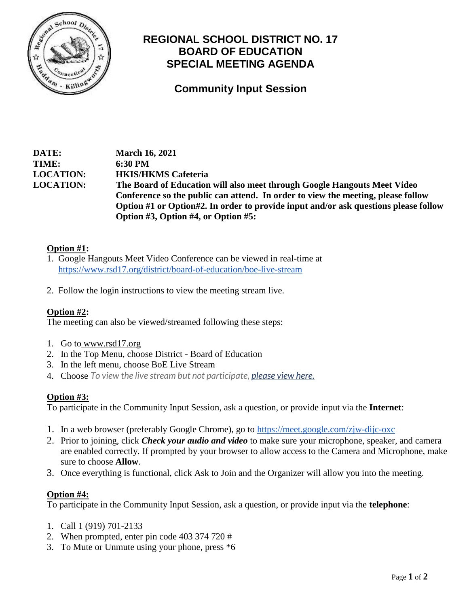

# **REGIONAL SCHOOL DISTRICT NO. 17 BOARD OF EDUCATION SPECIAL MEETING AGENDA**

**Community Input Session**

**DATE: March 16, 2021 TIME: 6:30 PM LOCATION: HKIS/HKMS Cafeteria LOCATION: The Board of Education will also meet through Google Hangouts Meet Video Conference so the public can attend. In order to view the meeting, please follow Option #1 or Option#2. In order to provide input and/or ask questions please follow Option #3, Option #4, or Option #5:**

### **Option #1:**

- 1. Google Hangouts Meet Video Conference can be viewed in real-time at https://www.rsd17.org/district/board-of-education/boe-live-stream
- 2. Follow the login instructions to view the meeting stream live.

## **Option #2:**

The meeting can also be viewed/streamed following these steps:

- 1. Go to [www.rsd17.org](http://www.rsd17.org/)
- 2. In the Top Menu, choose District Board of Education
- 3. In the left menu, choose BoE Live Stream
- 4. Choose *To view the live stream but not participate, [please view here.](https://stream.meet.google.com/stream/65dcda82-1f47-4841-b9fa-f4d730b77ab3)*

#### **Option #3:**

To participate in the Community Input Session, ask a question, or provide input via the **Internet**:

- 1. In a web browser (preferably Google Chrome), go to<https://meet.google.com/zjw-dijc-oxc>
- 2. Prior to joining, click *Check your audio and video* to make sure your microphone, speaker, and camera are enabled correctly. If prompted by your browser to allow access to the Camera and Microphone, make sure to choose **Allow**.
- 3. Once everything is functional, click Ask to Join and the Organizer will allow you into the meeting.

#### **Option #4:**

To participate in the Community Input Session, ask a question, or provide input via the **telephone**:

- 1. Call 1 (919) 701-2133
- 2. When prompted, enter pin code 403 374 720 #
- 3. To Mute or Unmute using your phone, press \*6